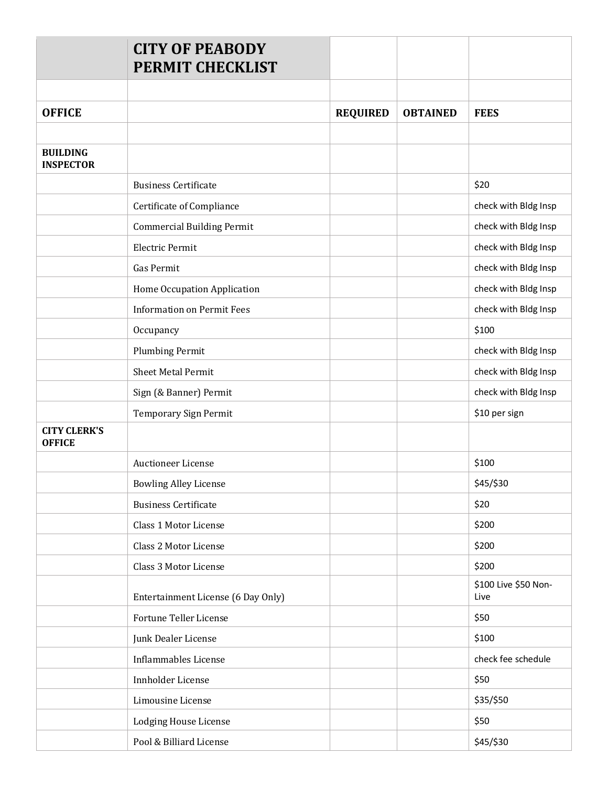|                                      | <b>CITY OF PEABODY</b><br><b>PERMIT CHECKLIST</b> |                 |                 |                              |
|--------------------------------------|---------------------------------------------------|-----------------|-----------------|------------------------------|
|                                      |                                                   |                 |                 |                              |
| <b>OFFICE</b>                        |                                                   | <b>REQUIRED</b> | <b>OBTAINED</b> | <b>FEES</b>                  |
| <b>BUILDING</b><br><b>INSPECTOR</b>  |                                                   |                 |                 |                              |
|                                      | <b>Business Certificate</b>                       |                 |                 | \$20                         |
|                                      | Certificate of Compliance                         |                 |                 | check with Bldg Insp         |
|                                      | <b>Commercial Building Permit</b>                 |                 |                 | check with Bldg Insp         |
|                                      | Electric Permit                                   |                 |                 | check with Bldg Insp         |
|                                      | <b>Gas Permit</b>                                 |                 |                 | check with Bldg Insp         |
|                                      | Home Occupation Application                       |                 |                 | check with Bldg Insp         |
|                                      | <b>Information on Permit Fees</b>                 |                 |                 | check with Bldg Insp         |
|                                      | Occupancy                                         |                 |                 | \$100                        |
|                                      | <b>Plumbing Permit</b>                            |                 |                 | check with Bldg Insp         |
|                                      | <b>Sheet Metal Permit</b>                         |                 |                 | check with Bldg Insp         |
|                                      | Sign (& Banner) Permit                            |                 |                 | check with Bldg Insp         |
|                                      | Temporary Sign Permit                             |                 |                 | \$10 per sign                |
| <b>CITY CLERK'S</b><br><b>OFFICE</b> |                                                   |                 |                 |                              |
|                                      | <b>Auctioneer License</b>                         |                 |                 | \$100                        |
|                                      | <b>Bowling Alley License</b>                      |                 |                 | \$45/\$30                    |
|                                      | <b>Business Certificate</b>                       |                 |                 | \$20                         |
|                                      | Class 1 Motor License                             |                 |                 | \$200                        |
|                                      | Class 2 Motor License                             |                 |                 | \$200                        |
|                                      | Class 3 Motor License                             |                 |                 | \$200                        |
|                                      | Entertainment License (6 Day Only)                |                 |                 | \$100 Live \$50 Non-<br>Live |
|                                      | <b>Fortune Teller License</b>                     |                 |                 | \$50                         |
|                                      | Junk Dealer License                               |                 |                 | \$100                        |
|                                      | <b>Inflammables License</b>                       |                 |                 | check fee schedule           |
|                                      | Innholder License                                 |                 |                 | \$50                         |
|                                      | Limousine License                                 |                 |                 | \$35/\$50                    |
|                                      | <b>Lodging House License</b>                      |                 |                 | \$50                         |
|                                      | Pool & Billiard License                           |                 |                 | \$45/\$30                    |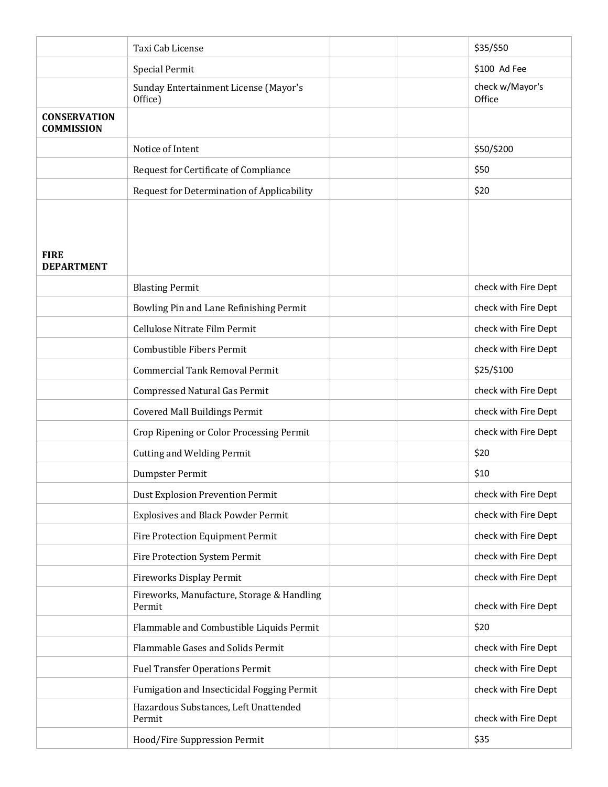|                                          | Taxi Cab License                                     | \$35/\$50                 |
|------------------------------------------|------------------------------------------------------|---------------------------|
|                                          | <b>Special Permit</b>                                | \$100 Ad Fee              |
|                                          | Sunday Entertainment License (Mayor's<br>Office)     | check w/Mayor's<br>Office |
| <b>CONSERVATION</b><br><b>COMMISSION</b> |                                                      |                           |
|                                          | Notice of Intent                                     | \$50/\$200                |
|                                          | Request for Certificate of Compliance                | \$50                      |
|                                          | Request for Determination of Applicability           | \$20                      |
| <b>FIRE</b><br><b>DEPARTMENT</b>         |                                                      |                           |
|                                          | <b>Blasting Permit</b>                               | check with Fire Dept      |
|                                          | Bowling Pin and Lane Refinishing Permit              | check with Fire Dept      |
|                                          | Cellulose Nitrate Film Permit                        | check with Fire Dept      |
|                                          | Combustible Fibers Permit                            | check with Fire Dept      |
|                                          | <b>Commercial Tank Removal Permit</b>                | \$25/\$100                |
|                                          | <b>Compressed Natural Gas Permit</b>                 | check with Fire Dept      |
|                                          | <b>Covered Mall Buildings Permit</b>                 | check with Fire Dept      |
|                                          | Crop Ripening or Color Processing Permit             | check with Fire Dept      |
|                                          | <b>Cutting and Welding Permit</b>                    | \$20                      |
|                                          | Dumpster Permit                                      | \$10                      |
|                                          | <b>Dust Explosion Prevention Permit</b>              | check with Fire Dept      |
|                                          | <b>Explosives and Black Powder Permit</b>            | check with Fire Dept      |
|                                          | Fire Protection Equipment Permit                     | check with Fire Dept      |
|                                          | Fire Protection System Permit                        | check with Fire Dept      |
|                                          | Fireworks Display Permit                             | check with Fire Dept      |
|                                          | Fireworks, Manufacture, Storage & Handling<br>Permit | check with Fire Dept      |
|                                          | Flammable and Combustible Liquids Permit             | \$20                      |
|                                          | Flammable Gases and Solids Permit                    | check with Fire Dept      |
|                                          | <b>Fuel Transfer Operations Permit</b>               | check with Fire Dept      |
|                                          | Fumigation and Insecticidal Fogging Permit           | check with Fire Dept      |
|                                          | Hazardous Substances, Left Unattended<br>Permit      | check with Fire Dept      |
|                                          | Hood/Fire Suppression Permit                         | \$35                      |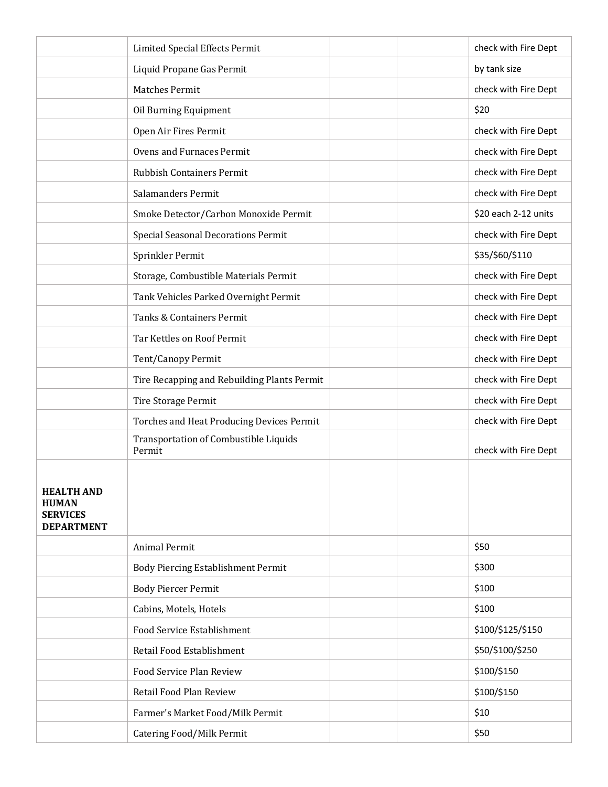|                                                                           | <b>Limited Special Effects Permit</b>           | check with Fire Dept |
|---------------------------------------------------------------------------|-------------------------------------------------|----------------------|
|                                                                           | Liquid Propane Gas Permit                       | by tank size         |
|                                                                           | <b>Matches Permit</b>                           | check with Fire Dept |
|                                                                           | Oil Burning Equipment                           | \$20                 |
|                                                                           | Open Air Fires Permit                           | check with Fire Dept |
|                                                                           | <b>Ovens and Furnaces Permit</b>                | check with Fire Dept |
|                                                                           | <b>Rubbish Containers Permit</b>                | check with Fire Dept |
|                                                                           | Salamanders Permit                              | check with Fire Dept |
|                                                                           | Smoke Detector/Carbon Monoxide Permit           | \$20 each 2-12 units |
|                                                                           | <b>Special Seasonal Decorations Permit</b>      | check with Fire Dept |
|                                                                           | Sprinkler Permit                                | \$35/\$60/\$110      |
|                                                                           | Storage, Combustible Materials Permit           | check with Fire Dept |
|                                                                           | Tank Vehicles Parked Overnight Permit           | check with Fire Dept |
|                                                                           | Tanks & Containers Permit                       | check with Fire Dept |
|                                                                           | Tar Kettles on Roof Permit                      | check with Fire Dept |
|                                                                           | Tent/Canopy Permit                              | check with Fire Dept |
|                                                                           | Tire Recapping and Rebuilding Plants Permit     | check with Fire Dept |
|                                                                           | Tire Storage Permit                             | check with Fire Dept |
|                                                                           | Torches and Heat Producing Devices Permit       | check with Fire Dept |
|                                                                           | Transportation of Combustible Liquids<br>Permit | check with Fire Dept |
| <b>HEALTH AND</b><br><b>HUMAN</b><br><b>SERVICES</b><br><b>DEPARTMENT</b> |                                                 |                      |
|                                                                           | <b>Animal Permit</b>                            | \$50                 |
|                                                                           | Body Piercing Establishment Permit              | \$300                |
|                                                                           | <b>Body Piercer Permit</b>                      | \$100                |
|                                                                           | Cabins, Motels, Hotels                          | \$100                |
|                                                                           | Food Service Establishment                      | \$100/\$125/\$150    |
|                                                                           | Retail Food Establishment                       | \$50/\$100/\$250     |
|                                                                           | Food Service Plan Review                        | \$100/\$150          |
|                                                                           | Retail Food Plan Review                         | \$100/\$150          |
|                                                                           | Farmer's Market Food/Milk Permit                | \$10                 |
|                                                                           | <b>Catering Food/Milk Permit</b>                | \$50                 |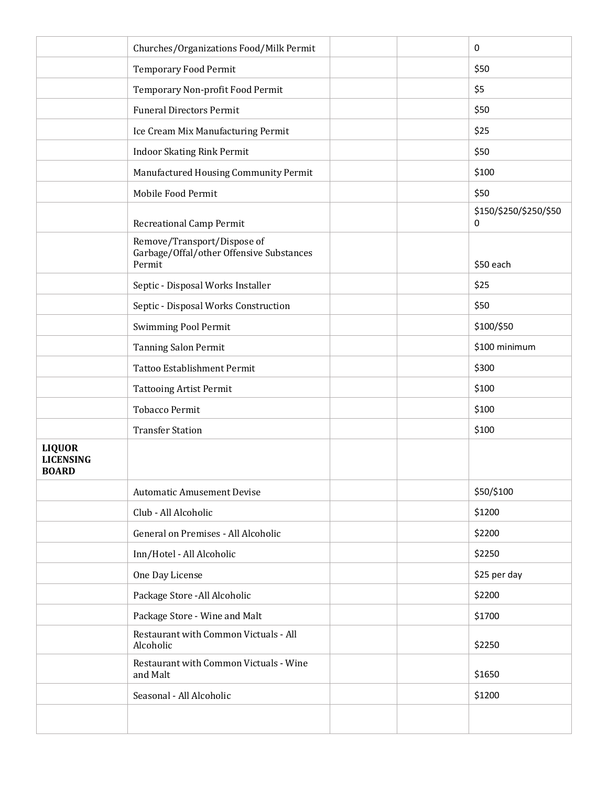|                                                   | Churches/Organizations Food/Milk Permit                                           | 0                           |
|---------------------------------------------------|-----------------------------------------------------------------------------------|-----------------------------|
|                                                   | <b>Temporary Food Permit</b>                                                      | \$50                        |
|                                                   | Temporary Non-profit Food Permit                                                  | \$5                         |
|                                                   | <b>Funeral Directors Permit</b>                                                   | \$50                        |
|                                                   | Ice Cream Mix Manufacturing Permit                                                | \$25                        |
|                                                   | <b>Indoor Skating Rink Permit</b>                                                 | \$50                        |
|                                                   | Manufactured Housing Community Permit                                             | \$100                       |
|                                                   | Mobile Food Permit                                                                | \$50                        |
|                                                   | <b>Recreational Camp Permit</b>                                                   | \$150/\$250/\$250/\$50<br>0 |
|                                                   | Remove/Transport/Dispose of<br>Garbage/Offal/other Offensive Substances<br>Permit | \$50 each                   |
|                                                   | Septic - Disposal Works Installer                                                 | \$25                        |
|                                                   | Septic - Disposal Works Construction                                              | \$50                        |
|                                                   | <b>Swimming Pool Permit</b>                                                       | \$100/\$50                  |
|                                                   | <b>Tanning Salon Permit</b>                                                       | \$100 minimum               |
|                                                   | <b>Tattoo Establishment Permit</b>                                                | \$300                       |
|                                                   | <b>Tattooing Artist Permit</b>                                                    | \$100                       |
|                                                   | <b>Tobacco Permit</b>                                                             | \$100                       |
|                                                   | <b>Transfer Station</b>                                                           | \$100                       |
| <b>LIQUOR</b><br><b>LICENSING</b><br><b>BOARD</b> |                                                                                   |                             |
|                                                   | <b>Automatic Amusement Devise</b>                                                 | \$50/\$100                  |
|                                                   | Club - All Alcoholic                                                              | \$1200                      |
|                                                   | General on Premises - All Alcoholic                                               | \$2200                      |
|                                                   | Inn/Hotel - All Alcoholic                                                         | \$2250                      |
|                                                   | One Day License                                                                   | \$25 per day                |
|                                                   | Package Store - All Alcoholic                                                     | \$2200                      |
|                                                   | Package Store - Wine and Malt                                                     | \$1700                      |
|                                                   | Restaurant with Common Victuals - All<br>Alcoholic                                | \$2250                      |
|                                                   | Restaurant with Common Victuals - Wine<br>and Malt                                | \$1650                      |
|                                                   | Seasonal - All Alcoholic                                                          | \$1200                      |
|                                                   |                                                                                   |                             |